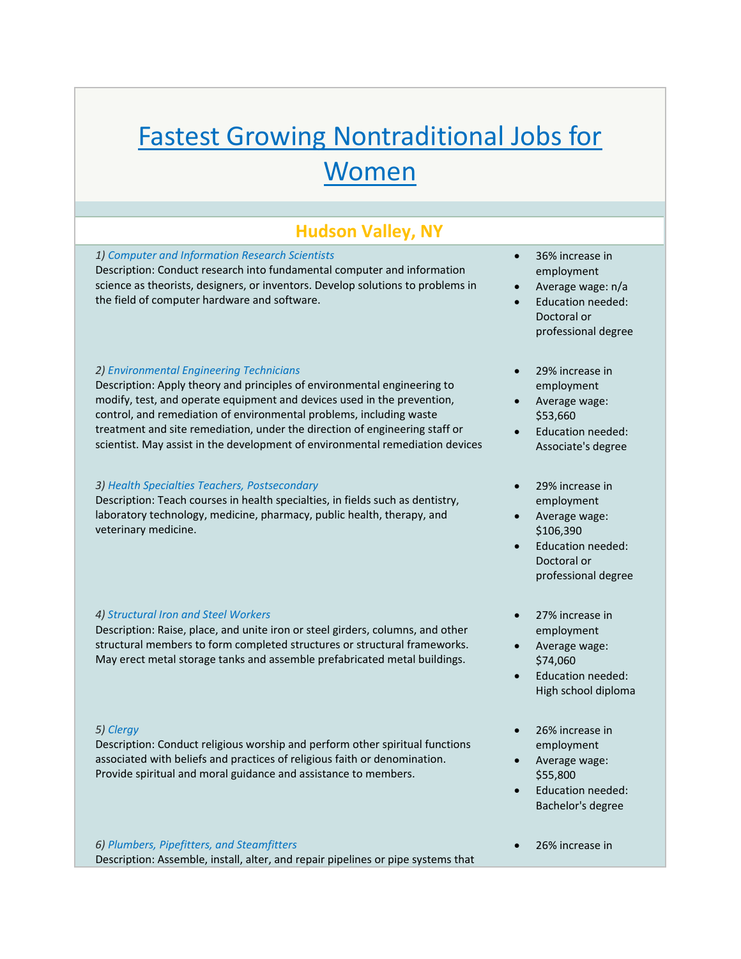# Fastest Growing Nontraditional Jobs for **Women**

## **Hudson Valley, NY**

## *1) Computer and Information Research Scientists*

Description: Conduct research into fundamental computer and information science as theorists, designers, or inventors. Develop solutions to problems in the field of computer hardware and software.

## *2) Environmental Engineering Technicians*

Description: Apply theory and principles of environmental engineering to modify, test, and operate equipment and devices used in the prevention, control, and remediation of environmental problems, including waste treatment and site remediation, under the direction of engineering staff or scientist. May assist in the development of environmental remediation devices

## *3) Health Specialties Teachers, Postsecondary*

Description: Teach courses in health specialties, in fields such as dentistry, laboratory technology, medicine, pharmacy, public health, therapy, and veterinary medicine.

## *4) Structural Iron and Steel Workers*

Description: Raise, place, and unite iron or steel girders, columns, and other structural members to form completed structures or structural frameworks. May erect metal storage tanks and assemble prefabricated metal buildings.

## *5) Clergy*

Description: Conduct religious worship and perform other spiritual functions associated with beliefs and practices of religious faith or denomination. Provide spiritual and moral guidance and assistance to members.

## *6) Plumbers, Pipefitters, and Steamfitters* Description: Assemble, install, alter, and repair pipelines or pipe systems that

- 36% increase in employment
- Average wage: n/a
- Education needed: Doctoral or professional degree
- 29% increase in employment
- Average wage: \$53,660
- Education needed: Associate's degree
- 29% increase in employment
- Average wage: \$106,390
- Education needed: Doctoral or professional degree
- 27% increase in employment
- Average wage: \$74,060
- Education needed: High school diploma
- 26% increase in employment
- Average wage: \$55,800
- Education needed: Bachelor's degree
- 26% increase in